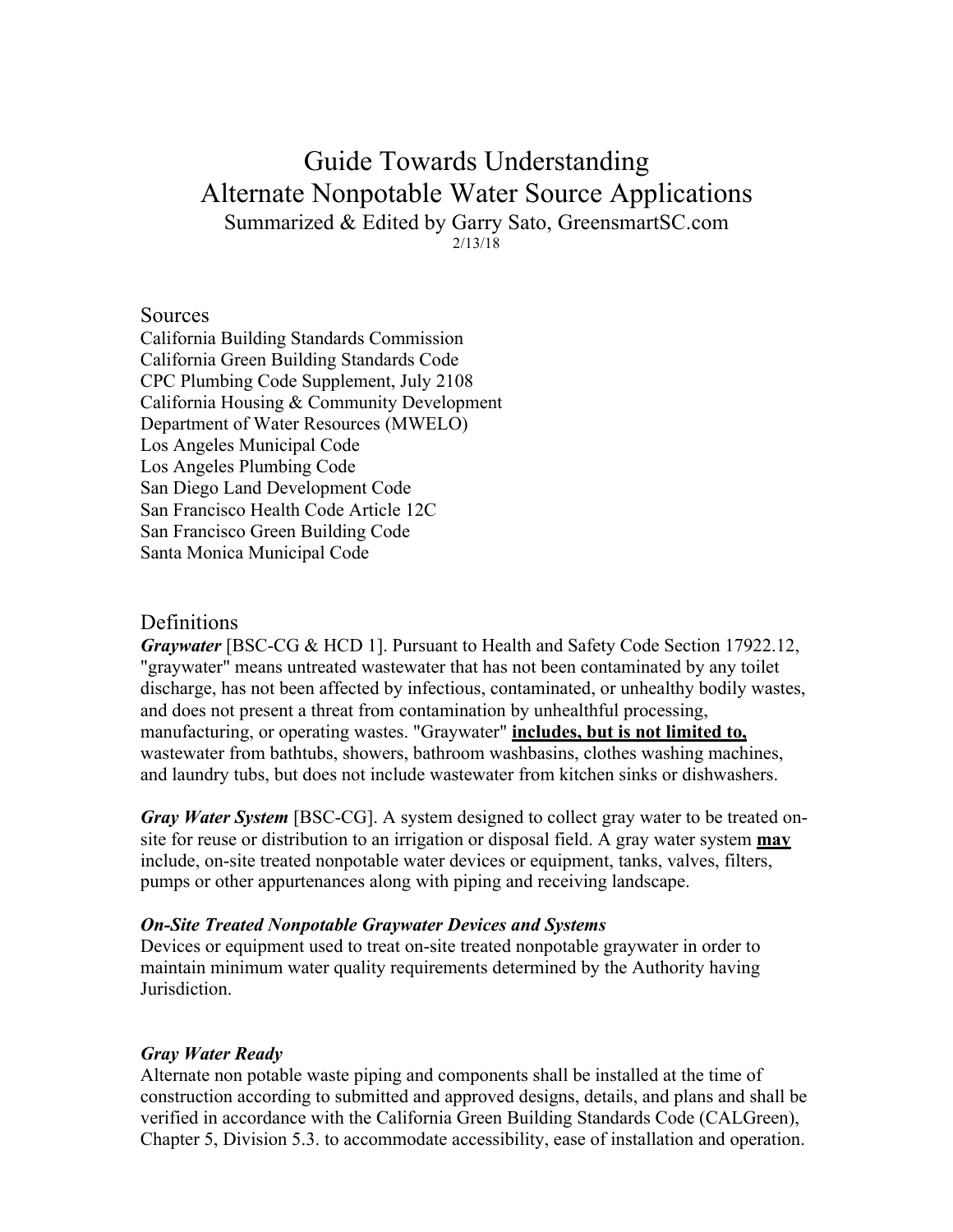# Guide Towards Understanding Alternate Nonpotable Water Source Applications Summarized & Edited by Garry Sato, GreensmartSC.com

2/13/18

### **Sources**

California Building Standards Commission California Green Building Standards Code CPC Plumbing Code Supplement, July 2108 California Housing & Community Development Department of Water Resources (MWELO) Los Angeles Municipal Code Los Angeles Plumbing Code San Diego Land Development Code San Francisco Health Code Article 12C San Francisco Green Building Code Santa Monica Municipal Code

# Definitions

*Graywater* [BSC-CG & HCD 1]. Pursuant to Health and Safety Code Section 17922.12, "graywater" means untreated wastewater that has not been contaminated by any toilet discharge, has not been affected by infectious, contaminated, or unhealthy bodily wastes, and does not present a threat from contamination by unhealthful processing, manufacturing, or operating wastes. "Graywater" **includes, but is not limited to,** wastewater from bathtubs, showers, bathroom washbasins, clothes washing machines, and laundry tubs, but does not include wastewater from kitchen sinks or dishwashers.

*Gray Water System* [BSC-CG]. A system designed to collect gray water to be treated onsite for reuse or distribution to an irrigation or disposal field. A gray water system **may**  include, on-site treated nonpotable water devices or equipment, tanks, valves, filters, pumps or other appurtenances along with piping and receiving landscape.

#### *On-Site Treated Nonpotable Graywater Devices and Systems*

Devices or equipment used to treat on-site treated nonpotable graywater in order to maintain minimum water quality requirements determined by the Authority having **Jurisdiction** 

## *Gray Water Ready*

Alternate non potable waste piping and components shall be installed at the time of construction according to submitted and approved designs, details, and plans and shall be verified in accordance with the California Green Building Standards Code (CALGreen), Chapter 5, Division 5.3. to accommodate accessibility, ease of installation and operation.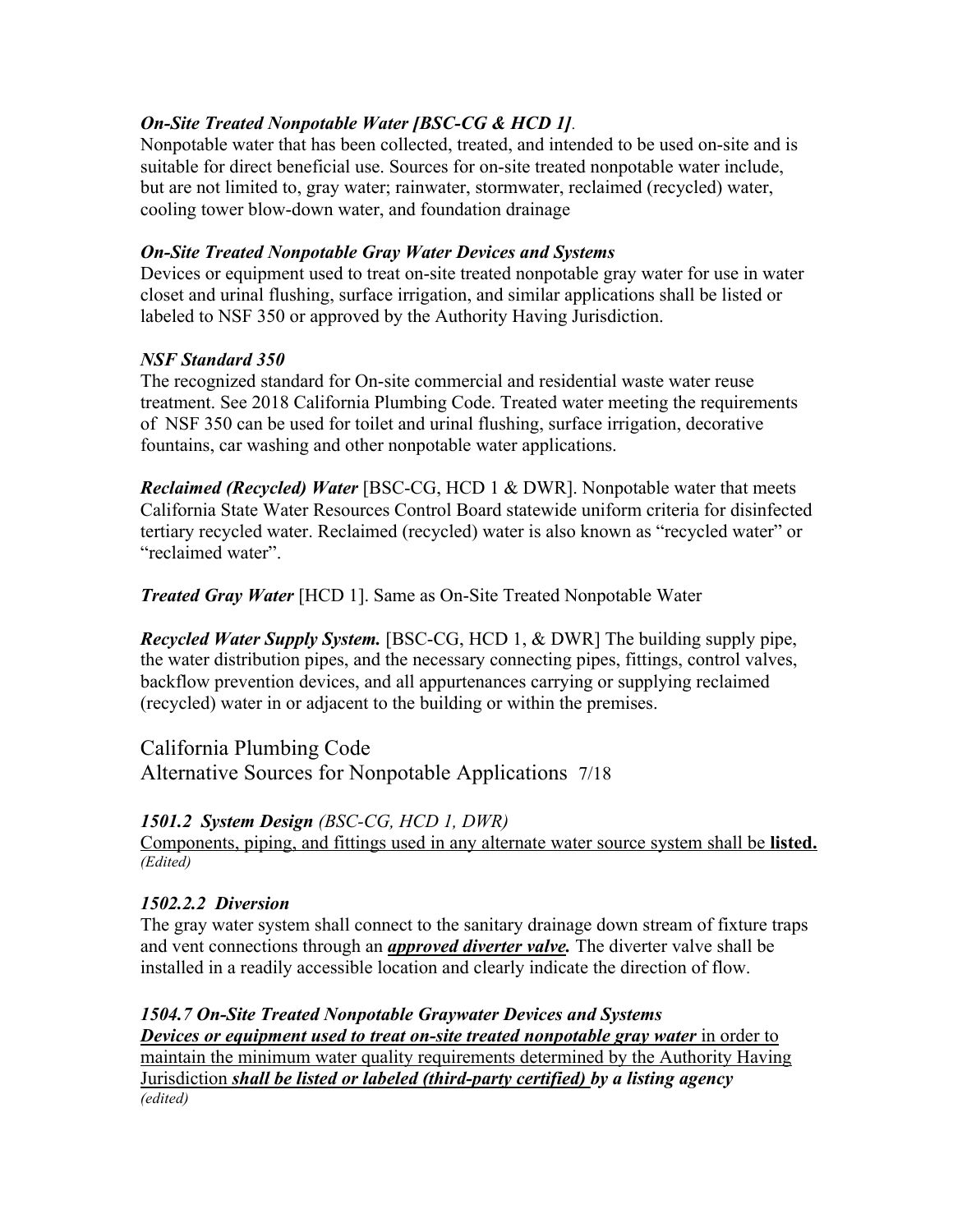# *On-Site Treated Nonpotable Water [BSC-CG & HCD 1]*.

Nonpotable water that has been collected, treated, and intended to be used on-site and is suitable for direct beneficial use. Sources for on-site treated nonpotable water include, but are not limited to, gray water; rainwater, stormwater, reclaimed (recycled) water, cooling tower blow-down water, and foundation drainage

# *On-Site Treated Nonpotable Gray Water Devices and Systems*

Devices or equipment used to treat on-site treated nonpotable gray water for use in water closet and urinal flushing, surface irrigation, and similar applications shall be listed or labeled to NSF 350 or approved by the Authority Having Jurisdiction.

# *NSF Standard 350*

The recognized standard for On-site commercial and residential waste water reuse treatment. See 2018 California Plumbing Code. Treated water meeting the requirements of NSF 350 can be used for toilet and urinal flushing, surface irrigation, decorative fountains, car washing and other nonpotable water applications.

*Reclaimed (Recycled) Water* [BSC-CG, HCD 1 & DWR]. Nonpotable water that meets California State Water Resources Control Board statewide uniform criteria for disinfected tertiary recycled water. Reclaimed (recycled) water is also known as "recycled water" or "reclaimed water".

*Treated Gray Water* [HCD 1]. Same as On-Site Treated Nonpotable Water

*Recycled Water Supply System.* [BSC-CG, HCD 1, & DWR] The building supply pipe, the water distribution pipes, and the necessary connecting pipes, fittings, control valves, backflow prevention devices, and all appurtenances carrying or supplying reclaimed (recycled) water in or adjacent to the building or within the premises.

# California Plumbing Code

Alternative Sources for Nonpotable Applications 7/18

# *1501.2 System Design (BSC-CG, HCD 1, DWR)*

Components, piping, and fittings used in any alternate water source system shall be **listed.** *(Edited)*

# *1502.2.2 Diversion*

The gray water system shall connect to the sanitary drainage down stream of fixture traps and vent connections through an *approved diverter valve.* The diverter valve shall be installed in a readily accessible location and clearly indicate the direction of flow.

# *1504.7 On-Site Treated Nonpotable Graywater Devices and Systems*

*Devices or equipment used to treat on-site treated nonpotable gray water* **in order to** maintain the minimum water quality requirements determined by the Authority Having Jurisdiction *shall be listed or labeled (third-party certified) by a listing agency (edited)*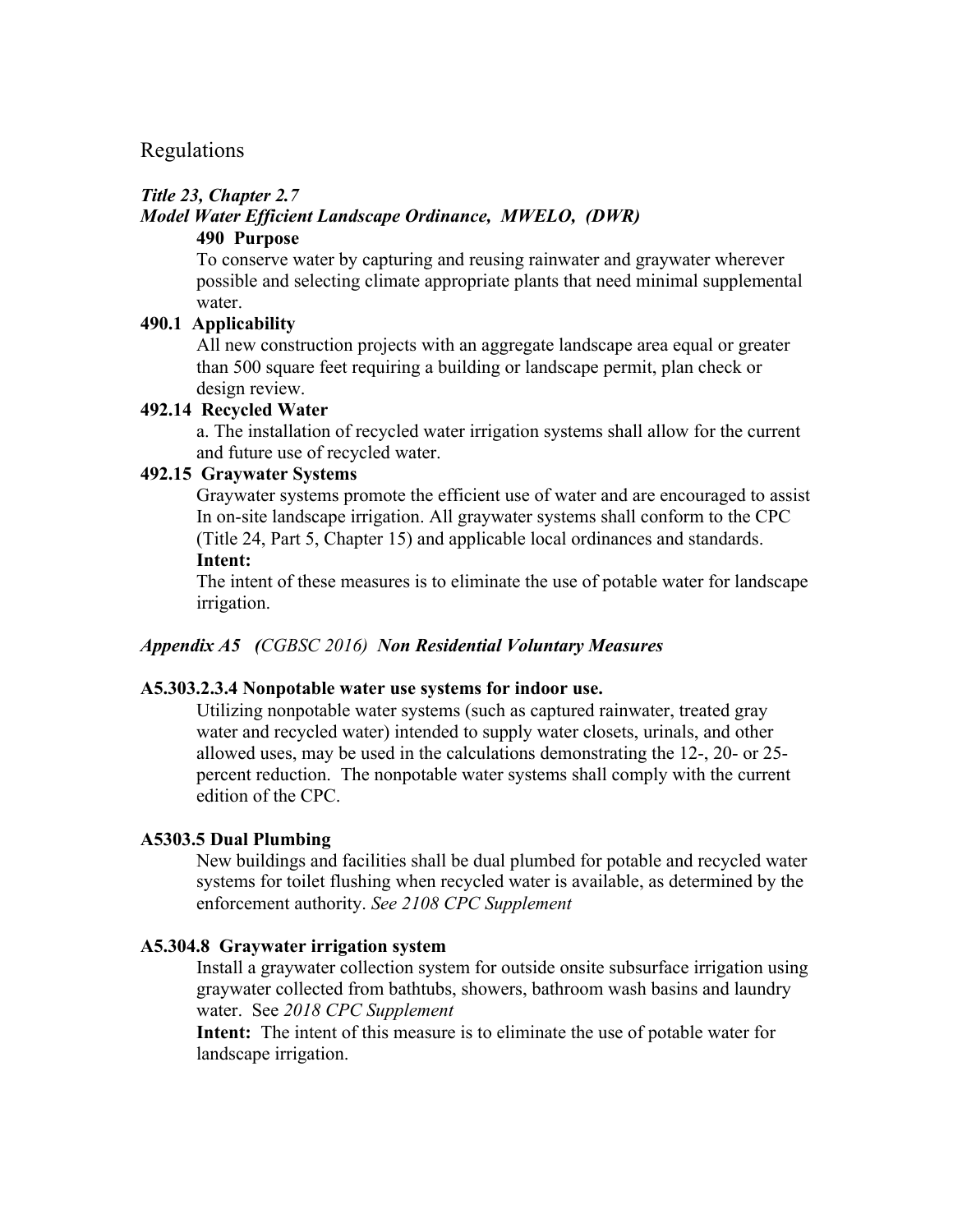# Regulations

#### *Title 23, Chapter 2.7*

#### *Model Water Efficient Landscape Ordinance, MWELO, (DWR)* **490 Purpose**

To conserve water by capturing and reusing rainwater and graywater wherever possible and selecting climate appropriate plants that need minimal supplemental water.

#### **490.1 Applicability**

All new construction projects with an aggregate landscape area equal or greater than 500 square feet requiring a building or landscape permit, plan check or design review.

#### **492.14 Recycled Water**

a. The installation of recycled water irrigation systems shall allow for the current and future use of recycled water.

### **492.15 Graywater Systems**

Graywater systems promote the efficient use of water and are encouraged to assist In on-site landscape irrigation. All graywater systems shall conform to the CPC (Title 24, Part 5, Chapter 15) and applicable local ordinances and standards. **Intent:**

The intent of these measures is to eliminate the use of potable water for landscape irrigation.

#### *Appendix A5 (CGBSC 2016) Non Residential Voluntary Measures*

#### **A5.303.2.3.4 Nonpotable water use systems for indoor use.**

Utilizing nonpotable water systems (such as captured rainwater, treated gray water and recycled water) intended to supply water closets, urinals, and other allowed uses, may be used in the calculations demonstrating the 12-, 20- or 25 percent reduction. The nonpotable water systems shall comply with the current edition of the CPC.

#### **A5303.5 Dual Plumbing**

New buildings and facilities shall be dual plumbed for potable and recycled water systems for toilet flushing when recycled water is available, as determined by the enforcement authority. *See 2108 CPC Supplement*

#### **A5.304.8 Graywater irrigation system**

Install a graywater collection system for outside onsite subsurface irrigation using graywater collected from bathtubs, showers, bathroom wash basins and laundry water. See *2018 CPC Supplement*

**Intent:** The intent of this measure is to eliminate the use of potable water for landscape irrigation.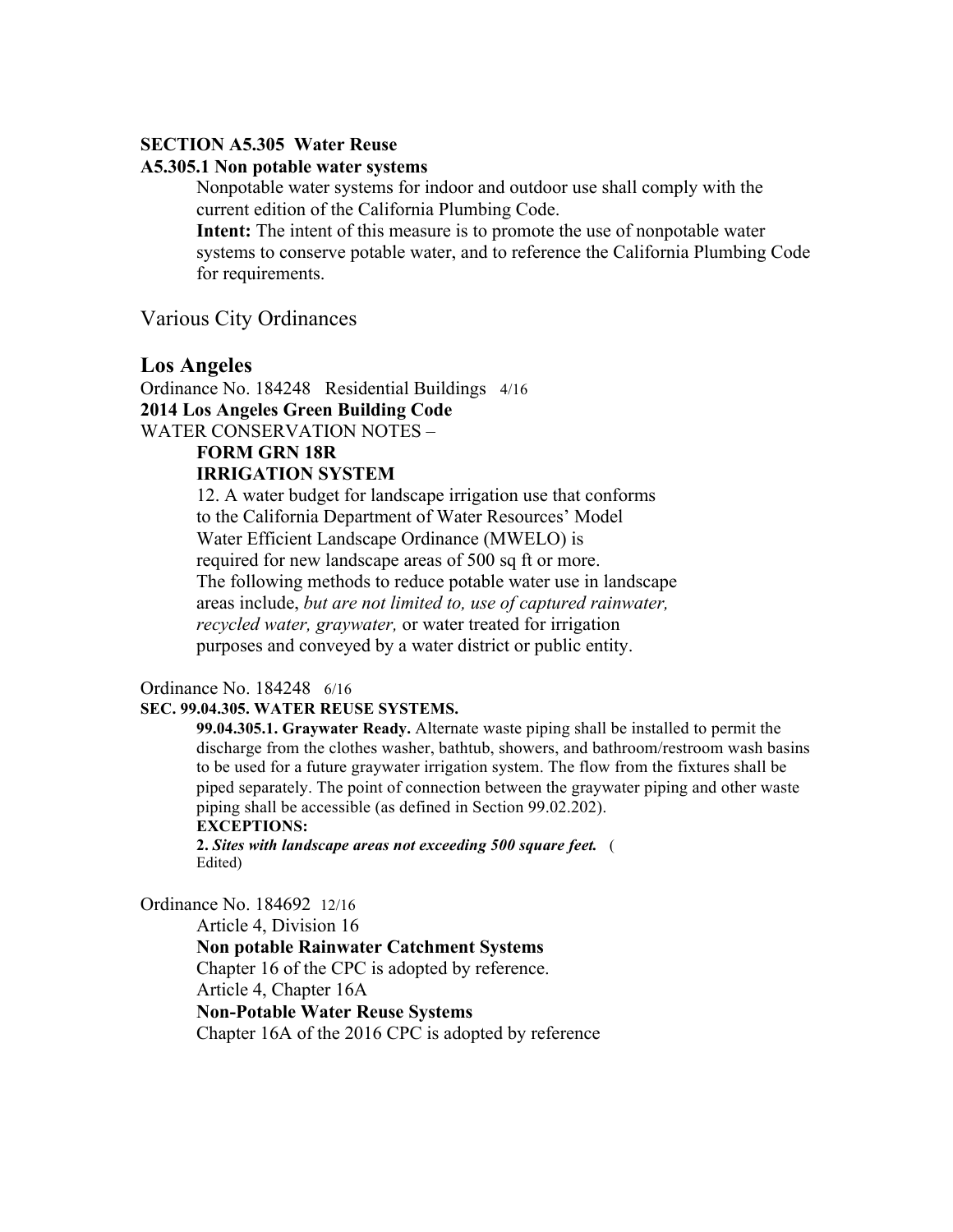#### **SECTION A5.305 Water Reuse**

#### **A5.305.1 Non potable water systems**

Nonpotable water systems for indoor and outdoor use shall comply with the current edition of the California Plumbing Code.

**Intent:** The intent of this measure is to promote the use of nonpotable water systems to conserve potable water, and to reference the California Plumbing Code for requirements.

Various City Ordinances

#### **Los Angeles**

Ordinance No. 184248 Residential Buildings 4/16 **2014 Los Angeles Green Building Code**  WATER CONSERVATION NOTES –

**FORM GRN 18R**

#### **IRRIGATION SYSTEM**

12. A water budget for landscape irrigation use that conforms to the California Department of Water Resources' Model Water Efficient Landscape Ordinance (MWELO) is required for new landscape areas of 500 sq ft or more. The following methods to reduce potable water use in landscape areas include, *but are not limited to, use of captured rainwater, recycled water, graywater,* or water treated for irrigation purposes and conveyed by a water district or public entity.

#### Ordinance No. 184248 6/16

#### **SEC. 99.04.305. WATER REUSE SYSTEMS.**

**99.04.305.1. Graywater Ready.** Alternate waste piping shall be installed to permit the discharge from the clothes washer, bathtub, showers, and bathroom/restroom wash basins to be used for a future graywater irrigation system. The flow from the fixtures shall be piped separately. The point of connection between the graywater piping and other waste piping shall be accessible (as defined in Section 99.02.202). **EXCEPTIONS:**

**2.** *Sites with landscape areas not exceeding 500 square feet.* ( Edited)

Ordinance No. 184692 12/16

Article 4, Division 16 **Non potable Rainwater Catchment Systems** Chapter 16 of the CPC is adopted by reference. Article 4, Chapter 16A **Non-Potable Water Reuse Systems** Chapter 16A of the 2016 CPC is adopted by reference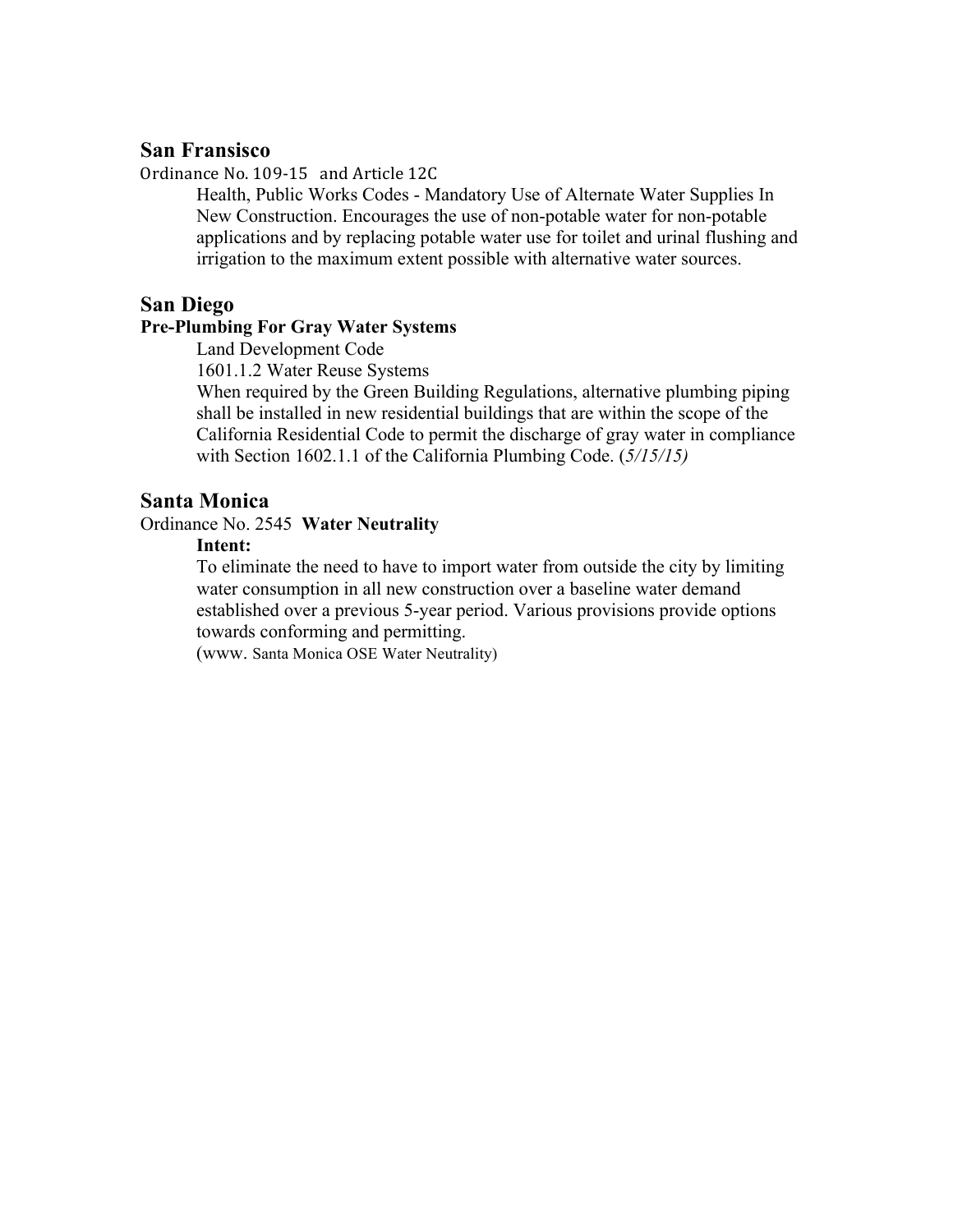# **San Fransisco**

Ordinance No. 109-15 and Article 12C

Health, Public Works Codes - Mandatory Use of Alternate Water Supplies In New Construction. Encourages the use of non-potable water for non-potable applications and by replacing potable water use for toilet and urinal flushing and irrigation to the maximum extent possible with alternative water sources.

### **San Diego**

#### **Pre-Plumbing For Gray Water Systems**

Land Development Code

1601.1.2 Water Reuse Systems

When required by the Green Building Regulations, alternative plumbing piping shall be installed in new residential buildings that are within the scope of the California Residential Code to permit the discharge of gray water in compliance with Section 1602.1.1 of the California Plumbing Code. (*5/15/15)*

### **Santa Monica**

Ordinance No. 2545 **Water Neutrality** 

### **Intent:**

To eliminate the need to have to import water from outside the city by limiting water consumption in all new construction over a baseline water demand established over a previous 5-year period. Various provisions provide options towards conforming and permitting.

(www. Santa Monica OSE Water Neutrality)